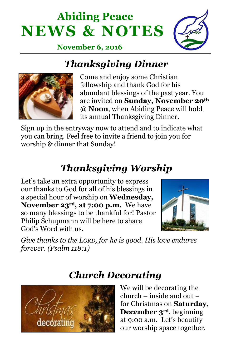



**November 6, 2016**

# *Thanksgiving Dinner*



Come and enjoy some Christian fellowship and thank God for his abundant blessings of the past year. You are invited on **Sunday, November 20th @ Noon**, when Abiding Peace will hold its annual Thanksgiving Dinner.

Sign up in the entryway now to attend and to indicate what you can bring. Feel free to invite a friend to join you for worship & dinner that Sunday!

# *Thanksgiving Worship*

Let's take an extra opportunity to express our thanks to God for all of his blessings in a special hour of worship on **Wednesday, November 23rd, at 7:00 p.m.** We have so many blessings to be thankful for! Pastor Philip Schupmann will be here to share God's Word with us.



*Give thanks to the LORD, for he is good. His love endures forever. (Psalm 118:1)*

# decoratino

#### *Church Decorating*

We will be decorating the church – inside and out – for Christmas on **Saturday, December 3rd**, beginning at 9:00 a.m. Let's beautify our worship space together.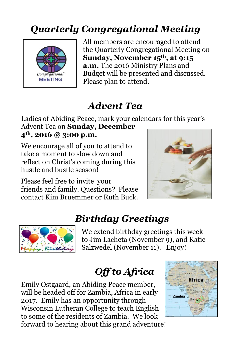# *Quarterly Congregational Meeting*



All members are encouraged to attend the Quarterly Congregational Meeting on **Sunday, November 15th, at 9:15 a.m.** The 2016 Ministry Plans and Budget will be presented and discussed. Please plan to attend.

# *Advent Tea*

Ladies of Abiding Peace, mark your calendars for this year's Advent Tea on **Sunday, December 4th, 2016 @ 3:00 p.m.** 

We encourage all of you to attend to take a moment to slow down and reflect on Christ's coming during this hustle and bustle season!

Please feel free to invite your friends and family. Questions? Please contact Kim Bruemmer or Ruth Buck.





# *Birthday Greetings*

We extend birthday greetings this week to Jim Lacheta (November 9), and Katie Salzwedel (November 11). Enjoy!

# *Off to Africa*

Emily Ostgaard, an Abiding Peace member, will be headed off for Zambia, Africa in early 2017. Emily has an opportunity through Wisconsin Lutheran College to teach English to some of the residents of Zambia. We look forward to hearing about this grand adventure!

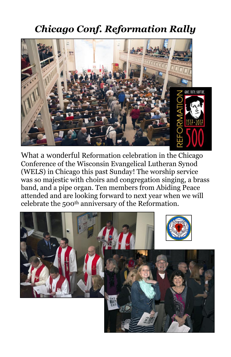#### *Chicago Conf. Reformation Rally*



What a wonderful Reformation celebration in the Chicago Conference of the Wisconsin Evangelical Lutheran Synod (WELS) in Chicago this past Sunday! The worship service was so majestic with choirs and congregation singing, a brass band, and a pipe organ. Ten members from Abiding Peace attended and are looking forward to next year when we will celebrate the 500th anniversary of the Reformation.